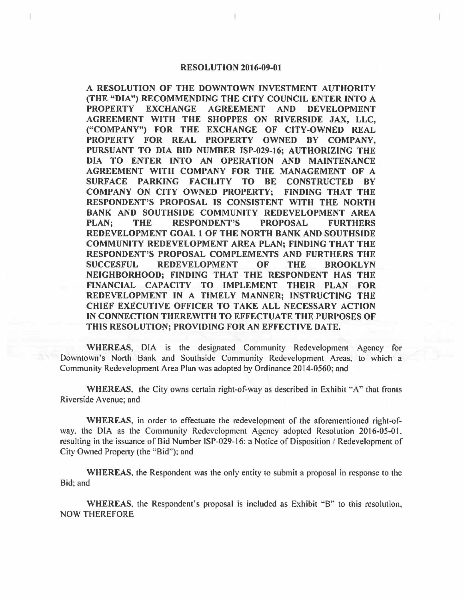## **RESOLUTION 2016-09-01**

**A RESOLUTION OF THE DOWNTOWN INVESTMENT AUTHORITY (THE "DIA") RECOMMENDING THE CITY COUNCIL ENTER INTO A PROPERTY EXCHANGE AGREEMENT AND DEVELOPMENT AGREEMENT WITH THE SHOPPES ON RIVERSIDE JAX, LLC, ("COMPANY") FOR THE EXCHANGE OF CITY-OWNED REAL PROPERTY FOR REAL PROPERTY OWNED BY COMPANY, PURSUANT TO DIA BID NUMBER ISP-029-16; AUTHORIZING THE DIA TO ENTER INTO AN OPERATION AND MAINTENANCE AGREEMENT WITH COMPANY FOR THE MANAGEMENT OF A SURFACE PARKING FACILITY TO BE CONSTRUCTED BY COMPANY ON CITY OWNED PROPERTY; FINDING THAT THE RESPONDENT'S PROPOSAL IS CONSISTENT WITH THE NORTH BANK AND SOUTHSIDE COMMUNITY REDEVELOPMENT AREA PLAN; THE RESPONDENT'S PROPOSAL FURTHERS REDEVELOPMENT GOAL 1 OF THE NORTH BANK AND SOUTHSIDE COMMUNITY REDEVELOPMENT AREA PLAN; FINDING THAT THE RESPONDENT'S PROPOSAL COMPLEMENTS AND FURTHERS THE SUCCESFUL REDEVELOPMENT OF THE BROOKLYN NEIGHBORHOOD; FINDING THAT THE RESPONDENT HAS THE FINANCIAL CAPACITY TO IMPLEMENT THEIR PLAN FOR REDEVELOPMENT IN A TIMELY MANNER; INSTRUCTING THE CHIEF EXECUTIVE OFFICER TO TAKE ALL NECESSARY ACTION IN CONNECTION THEREWITH TO EFFECTUATE THE PURPOSES OF THIS RESOLUTION; PROVIDING FOR AN EFFECTIVE DATE.** 

**WHEREAS,** DIA is the designated Community Redevelopment Agency for Downtown's North Bank and Southside Community Redevelopment Areas, to which a Community Redevelopment Area Plan was adopted by Ordinance 2014-0560; and

**WHEREAS.** the City owns certain right-of-way as described in Exhibit "A" that fronts Riverside Avenue; and

**WHEREAS,** in order to effectuate the redevelopment of the aforementioned right-ofway, the DIA as the Community Redevelopment Agency adopted Resolution 2016-05-01, resulting in the issuance of Bid Number ISP-029-16: a Notice of Disposition / Redevelopment of City Owned Property (the "Bid"); and

**WHEREAS,** the Respondent was the only entity to submit a proposal in response to the Bid; and

**WHEREAS,** the Respondent's proposal is included as Exhibit "'B'" to this resolution, NOW THEREFORE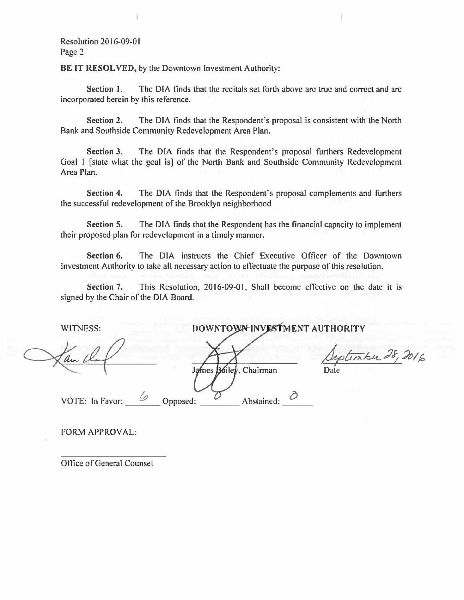Resolution 2016-09-0 I Page 2

BE IT **RESOLVED,** by the Downtown Investment Authority:

**Section 1.** The DIA finds that the recitals set forth above are true and correct and are incorporated herein by this reference.

**Section 2.** The DIA finds that the Respondent's proposal is consistent with the North Bank and Southside Community Redevelopment Area Plan.

**Section 3.** The DIA finds that the Respondent's proposal furthers Redevelopment Goal 1 [state what the goal is] of the North Bank and Southside Community Redevelopment Area Plan.

**Section 4.** The DIA finds that the Respondent's proposal complements and furthers the successful redevelopment of the Brooklyn neighborhood

**Section 5.** The DIA finds that the Respondent has the financial capacity to implement their proposed plan for redevelopment in a timely manner.

**Section 6.** The DIA instructs the Chief Executive Officer of the Downtown Investment Authority to take all necessary action to effectuate the purpose of this resolution.

**Section** 7. This Resolution, 2016-09-01, Shall become effective on the date it is signed by the Chair of the DIA Board.

WITNESS:

**DOWNTOWN INVESTMENT AUTHORITY** 

*J;etn:/2,u\_\_:l~* ~/~ James Bailer, Chairman Date

VOTE: In Favor: C Opposed: Abstained:  $\varphi$ 

 $\frac{6}{\sqrt{2}}$  Opposed:  $\frac{6}{\sqrt{2}}$  Abstained:  $\frac{6}{\sqrt{2}}$ 

FORM APPROVAL:

Office of General Counsel